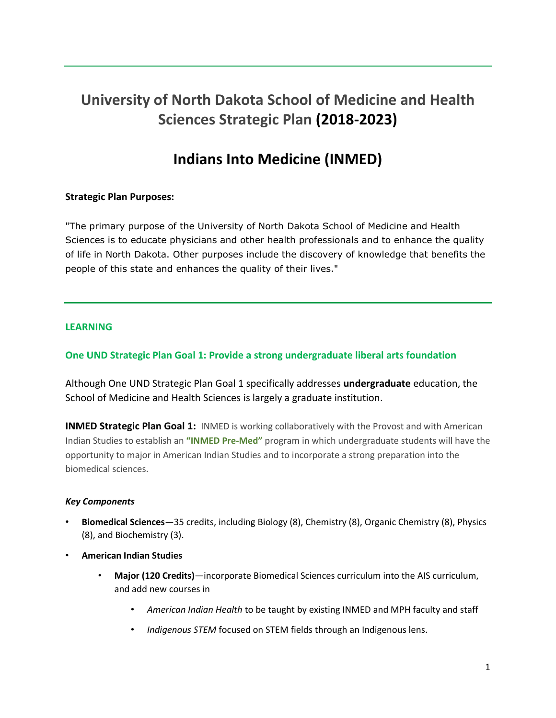# **University of North Dakota School of Medicine and Health Sciences Strategic Plan (2018-2023)**

## **Indians Into Medicine (INMED)**

## **Strategic Plan Purposes:**

"The primary purpose of the University of North Dakota School of Medicine and Health Sciences is to educate physicians and other health professionals and to enhance the quality of life in North Dakota. Other purposes include the discovery of knowledge that benefits the people of this state and enhances the quality of their lives."

#### **LEARNING**

## **One UND Strategic Plan Goal 1: Provide a strong undergraduate liberal arts foundation**

Although One UND Strategic Plan Goal 1 specifically addresses **undergraduate** education, the School of Medicine and Health Sciences is largely a graduate institution.

**INMED Strategic Plan Goal 1:** INMED is working collaboratively with the Provost and with American Indian Studies to establish an **"INMED Pre-Med"** program in which undergraduate students will have the opportunity to major in American Indian Studies and to incorporate a strong preparation into the biomedical sciences.

#### *Key Components*

- **Biomedical Sciences**—35 credits, including Biology (8), Chemistry (8), Organic Chemistry (8), Physics (8), and Biochemistry (3).
- **American Indian Studies**
	- **Major (120 Credits)**—incorporate Biomedical Sciences curriculum into the AIS curriculum, and add new courses in
		- *American Indian Health* to be taught by existing INMED and MPH faculty and staff
		- *Indigenous STEM* focused on STEM fields through an Indigenous lens.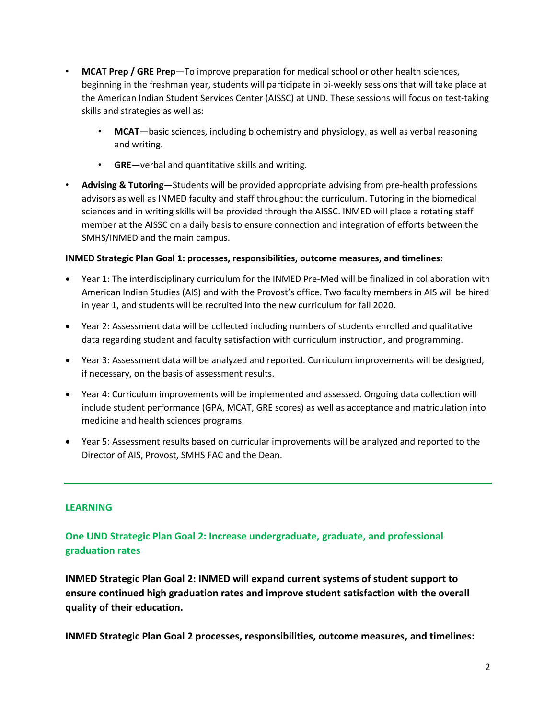- **MCAT Prep / GRE Prep**—To improve preparation for medical school or other health sciences, beginning in the freshman year, students will participate in bi-weekly sessions that will take place at the American Indian Student Services Center (AISSC) at UND. These sessions will focus on test-taking skills and strategies as well as:
	- **MCAT**—basic sciences, including biochemistry and physiology, as well as verbal reasoning and writing.
	- **GRE**—verbal and quantitative skills and writing.
- **Advising & Tutoring**—Students will be provided appropriate advising from pre-health professions advisors as well as INMED faculty and staff throughout the curriculum. Tutoring in the biomedical sciences and in writing skills will be provided through the AISSC. INMED will place a rotating staff member at the AISSC on a daily basis to ensure connection and integration of efforts between the SMHS/INMED and the main campus.

#### **INMED Strategic Plan Goal 1: processes, responsibilities, outcome measures, and timelines:**

- Year 1: The interdisciplinary curriculum for the INMED Pre-Med will be finalized in collaboration with American Indian Studies (AIS) and with the Provost's office. Two faculty members in AIS will be hired in year 1, and students will be recruited into the new curriculum for fall 2020.
- Year 2: Assessment data will be collected including numbers of students enrolled and qualitative data regarding student and faculty satisfaction with curriculum instruction, and programming.
- Year 3: Assessment data will be analyzed and reported. Curriculum improvements will be designed, if necessary, on the basis of assessment results.
- Year 4: Curriculum improvements will be implemented and assessed. Ongoing data collection will include student performance (GPA, MCAT, GRE scores) as well as acceptance and matriculation into medicine and health sciences programs.
- Year 5: Assessment results based on curricular improvements will be analyzed and reported to the Director of AIS, Provost, SMHS FAC and the Dean.

#### **LEARNING**

## **One UND Strategic Plan Goal 2: Increase undergraduate, graduate, and professional graduation rates**

**INMED Strategic Plan Goal 2: INMED will expand current systems of student support to ensure continued high graduation rates and improve student satisfaction with the overall quality of their education.**

**INMED Strategic Plan Goal 2 processes, responsibilities, outcome measures, and timelines:**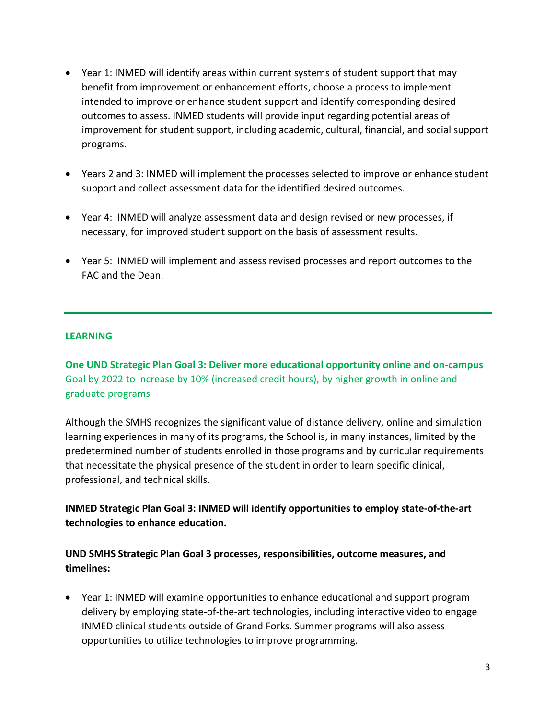- Year 1: INMED will identify areas within current systems of student support that may benefit from improvement or enhancement efforts, choose a process to implement intended to improve or enhance student support and identify corresponding desired outcomes to assess. INMED students will provide input regarding potential areas of improvement for student support, including academic, cultural, financial, and social support programs.
- Years 2 and 3: INMED will implement the processes selected to improve or enhance student support and collect assessment data for the identified desired outcomes.
- Year 4: INMED will analyze assessment data and design revised or new processes, if necessary, for improved student support on the basis of assessment results.
- Year 5: INMED will implement and assess revised processes and report outcomes to the FAC and the Dean.

## **LEARNING**

**One UND Strategic Plan Goal 3: Deliver more educational opportunity online and on-campus** Goal by 2022 to increase by 10% (increased credit hours), by higher growth in online and graduate programs

Although the SMHS recognizes the significant value of distance delivery, online and simulation learning experiences in many of its programs, the School is, in many instances, limited by the predetermined number of students enrolled in those programs and by curricular requirements that necessitate the physical presence of the student in order to learn specific clinical, professional, and technical skills.

**INMED Strategic Plan Goal 3: INMED will identify opportunities to employ state-of-the-art technologies to enhance education.**

**UND SMHS Strategic Plan Goal 3 processes, responsibilities, outcome measures, and timelines:**

• Year 1: INMED will examine opportunities to enhance educational and support program delivery by employing state-of-the-art technologies, including interactive video to engage INMED clinical students outside of Grand Forks. Summer programs will also assess opportunities to utilize technologies to improve programming.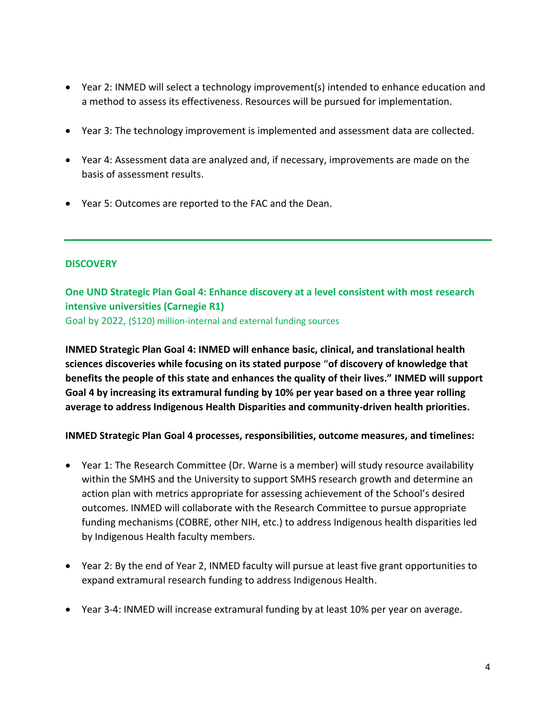- Year 2: INMED will select a technology improvement(s) intended to enhance education and a method to assess its effectiveness. Resources will be pursued for implementation.
- Year 3: The technology improvement is implemented and assessment data are collected.
- Year 4: Assessment data are analyzed and, if necessary, improvements are made on the basis of assessment results.
- Year 5: Outcomes are reported to the FAC and the Dean.

## **DISCOVERY**

**One UND Strategic Plan Goal 4: Enhance discovery at a level consistent with most research intensive universities (Carnegie R1)**

Goal by 2022, (\$120) million-internal and external funding sources

**INMED Strategic Plan Goal 4: INMED will enhance basic, clinical, and translational health sciences discoveries while focusing on its stated purpose "of discovery of knowledge that benefits the people of this state and enhances the quality of their lives." INMED will support Goal 4 by increasing its extramural funding by 10% per year based on a three year rolling average to address Indigenous Health Disparities and community-driven health priorities.**

**INMED Strategic Plan Goal 4 processes, responsibilities, outcome measures, and timelines:**

- Year 1: The Research Committee (Dr. Warne is a member) will study resource availability within the SMHS and the University to support SMHS research growth and determine an action plan with metrics appropriate for assessing achievement of the School's desired outcomes. INMED will collaborate with the Research Committee to pursue appropriate funding mechanisms (COBRE, other NIH, etc.) to address Indigenous health disparities led by Indigenous Health faculty members.
- Year 2: By the end of Year 2, INMED faculty will pursue at least five grant opportunities to expand extramural research funding to address Indigenous Health.
- Year 3-4: INMED will increase extramural funding by at least 10% per year on average.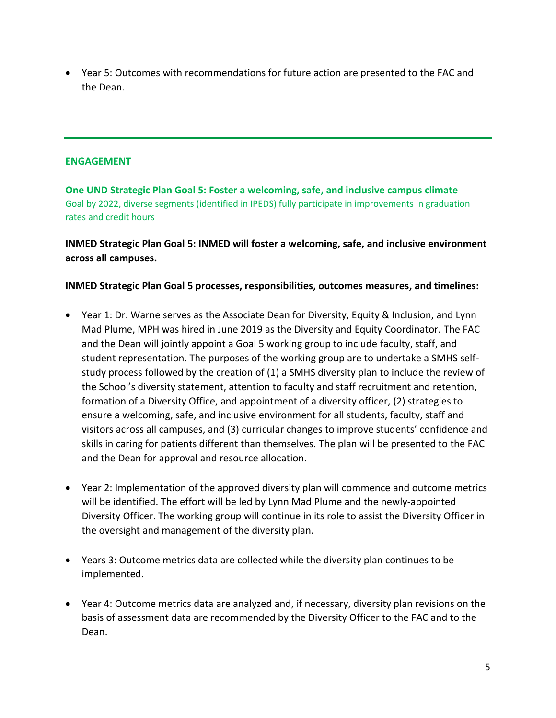• Year 5: Outcomes with recommendations for future action are presented to the FAC and the Dean.

### **ENGAGEMENT**

**One UND Strategic Plan Goal 5: Foster a welcoming, safe, and inclusive campus climate** Goal by 2022, diverse segments (identified in IPEDS) fully participate in improvements in graduation rates and credit hours

**INMED Strategic Plan Goal 5: INMED will foster a welcoming, safe, and inclusive environment across all campuses.**

## **INMED Strategic Plan Goal 5 processes, responsibilities, outcomes measures, and timelines:**

- Year 1: Dr. Warne serves as the Associate Dean for Diversity, Equity & Inclusion, and Lynn Mad Plume, MPH was hired in June 2019 as the Diversity and Equity Coordinator. The FAC and the Dean will jointly appoint a Goal 5 working group to include faculty, staff, and student representation. The purposes of the working group are to undertake a SMHS selfstudy process followed by the creation of (1) a SMHS diversity plan to include the review of the School's diversity statement, attention to faculty and staff recruitment and retention, formation of a Diversity Office, and appointment of a diversity officer, (2) strategies to ensure a welcoming, safe, and inclusive environment for all students, faculty, staff and visitors across all campuses, and (3) curricular changes to improve students' confidence and skills in caring for patients different than themselves. The plan will be presented to the FAC and the Dean for approval and resource allocation.
- Year 2: Implementation of the approved diversity plan will commence and outcome metrics will be identified. The effort will be led by Lynn Mad Plume and the newly-appointed Diversity Officer. The working group will continue in its role to assist the Diversity Officer in the oversight and management of the diversity plan.
- Years 3: Outcome metrics data are collected while the diversity plan continues to be implemented.
- Year 4: Outcome metrics data are analyzed and, if necessary, diversity plan revisions on the basis of assessment data are recommended by the Diversity Officer to the FAC and to the Dean.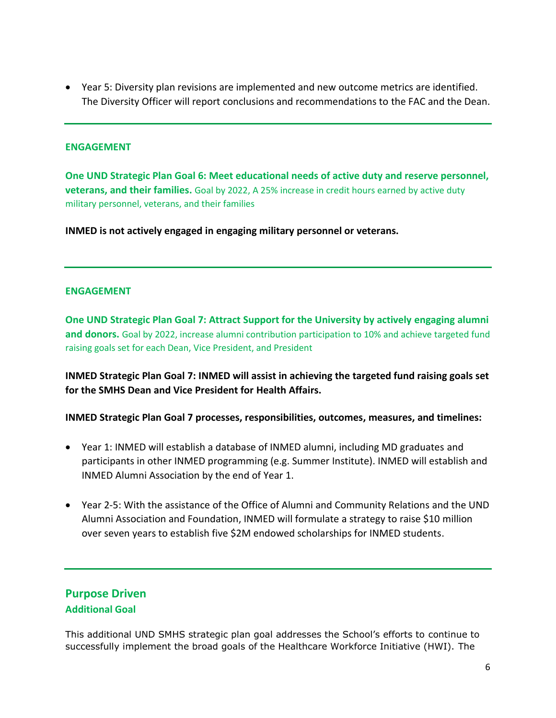• Year 5: Diversity plan revisions are implemented and new outcome metrics are identified. The Diversity Officer will report conclusions and recommendations to the FAC and the Dean.

#### **ENGAGEMENT**

**One UND Strategic Plan Goal 6: Meet educational needs of active duty and reserve personnel, veterans, and their families.** Goal by 2022, A 25% increase in credit hours earned by active duty military personnel, veterans, and their families

**INMED is not actively engaged in engaging military personnel or veterans.** 

#### **ENGAGEMENT**

**One UND Strategic Plan Goal 7: Attract Support for the University by actively engaging alumni and donors.** Goal by 2022, increase alumni contribution participation to 10% and achieve targeted fund raising goals set for each Dean, Vice President, and President

**INMED Strategic Plan Goal 7: INMED will assist in achieving the targeted fund raising goals set for the SMHS Dean and Vice President for Health Affairs.**

**INMED Strategic Plan Goal 7 processes, responsibilities, outcomes, measures, and timelines:**

- Year 1: INMED will establish a database of INMED alumni, including MD graduates and participants in other INMED programming (e.g. Summer Institute). INMED will establish and INMED Alumni Association by the end of Year 1.
- Year 2-5: With the assistance of the Office of Alumni and Community Relations and the UND Alumni Association and Foundation, INMED will formulate a strategy to raise \$10 million over seven years to establish five \$2M endowed scholarships for INMED students.

## **Purpose Driven Additional Goal**

This additional UND SMHS strategic plan goal addresses the School's efforts to continue to successfully implement the broad goals of the Healthcare Workforce Initiative (HWI). The